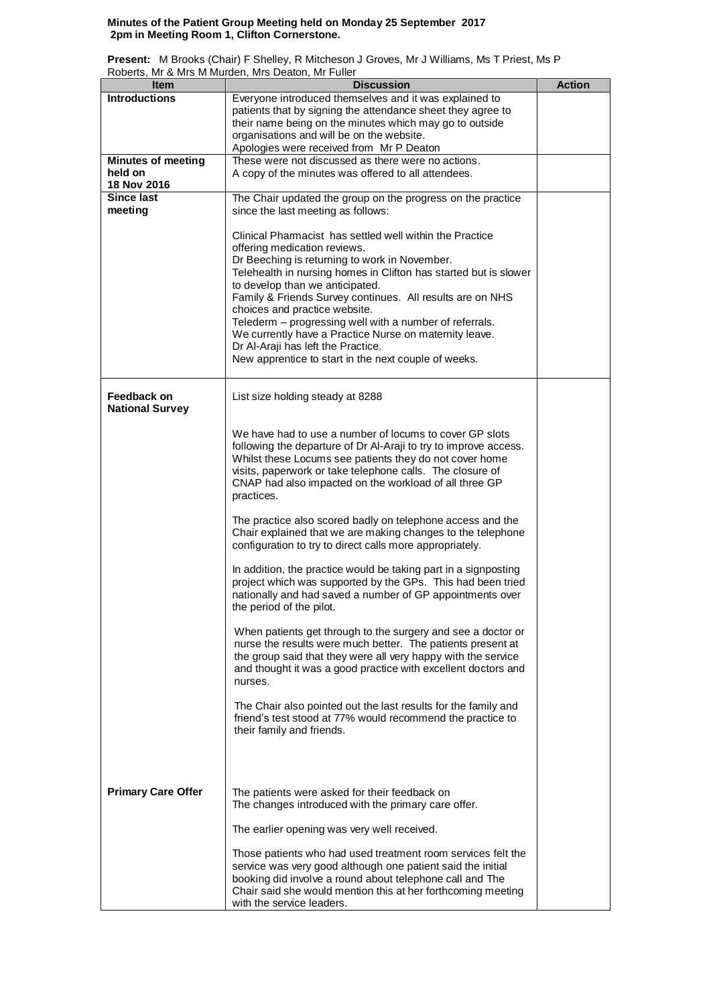## **Minutes of the Patient Group Meeting held on Monday 25 September 2017 2pm in Meeting Room 1, Clifton Cornerstone.**

**Present:** M Brooks (Chair) F Shelley, R Mitcheson J Groves, Mr J Williams, Ms T Priest, Ms P Roberts, Mr & Mrs M Murden, Mrs Deaton, Mr Fuller

| <b>Item</b>               | <u>RODONO, IVII &amp; IVIIO IVI IVIGIQUII, IVIIO DUQUOII, IVII I GIIUI</u><br><b>Discussion</b> | <b>Action</b> |
|---------------------------|-------------------------------------------------------------------------------------------------|---------------|
| <b>Introductions</b>      | Everyone introduced themselves and it was explained to                                          |               |
|                           | patients that by signing the attendance sheet they agree to                                     |               |
|                           | their name being on the minutes which may go to outside                                         |               |
|                           | organisations and will be on the website.                                                       |               |
|                           | Apologies were received from Mr P Deaton                                                        |               |
|                           | These were not discussed as there were no actions.                                              |               |
| <b>Minutes of meeting</b> |                                                                                                 |               |
| held on                   | A copy of the minutes was offered to all attendees.                                             |               |
| 18 Nov 2016               |                                                                                                 |               |
| Since last                | The Chair updated the group on the progress on the practice                                     |               |
| meeting                   | since the last meeting as follows:                                                              |               |
|                           |                                                                                                 |               |
|                           | Clinical Pharmacist has settled well within the Practice                                        |               |
|                           | offering medication reviews.                                                                    |               |
|                           | Dr Beeching is returning to work in November.                                                   |               |
|                           | Telehealth in nursing homes in Clifton has started but is slower                                |               |
|                           | to develop than we anticipated.                                                                 |               |
|                           | Family & Friends Survey continues. All results are on NHS                                       |               |
|                           | choices and practice website.                                                                   |               |
|                           | Telederm - progressing well with a number of referrals.                                         |               |
|                           | We currently have a Practice Nurse on maternity leave.                                          |               |
|                           | Dr Al-Araji has left the Practice.                                                              |               |
|                           | New apprentice to start in the next couple of weeks.                                            |               |
|                           |                                                                                                 |               |
|                           |                                                                                                 |               |
| <b>Feedback on</b>        | List size holding steady at 8288                                                                |               |
| <b>National Survey</b>    |                                                                                                 |               |
|                           |                                                                                                 |               |
|                           | We have had to use a number of locums to cover GP slots                                         |               |
|                           | following the departure of Dr Al-Araji to try to improve access.                                |               |
|                           | Whilst these Locums see patients they do not cover home                                         |               |
|                           | visits, paperwork or take telephone calls. The closure of                                       |               |
|                           | CNAP had also impacted on the workload of all three GP                                          |               |
|                           | practices.                                                                                      |               |
|                           |                                                                                                 |               |
|                           | The practice also scored badly on telephone access and the                                      |               |
|                           | Chair explained that we are making changes to the telephone                                     |               |
|                           | configuration to try to direct calls more appropriately.                                        |               |
|                           |                                                                                                 |               |
|                           | In addition, the practice would be taking part in a signposting                                 |               |
|                           | project which was supported by the GPs. This had been tried                                     |               |
|                           | nationally and had saved a number of GP appointments over                                       |               |
|                           | the period of the pilot.                                                                        |               |
|                           |                                                                                                 |               |
|                           | When patients get through to the surgery and see a doctor or                                    |               |
|                           | nurse the results were much better. The patients present at                                     |               |
|                           | the group said that they were all very happy with the service                                   |               |
|                           | and thought it was a good practice with excellent doctors and                                   |               |
|                           | nurses.                                                                                         |               |
|                           |                                                                                                 |               |
|                           | The Chair also pointed out the last results for the family and                                  |               |
|                           | friend's test stood at 77% would recommend the practice to                                      |               |
|                           |                                                                                                 |               |
|                           | their family and friends.                                                                       |               |
|                           |                                                                                                 |               |
|                           |                                                                                                 |               |
|                           |                                                                                                 |               |
| <b>Primary Care Offer</b> | The patients were asked for their feedback on                                                   |               |
|                           | The changes introduced with the primary care offer.                                             |               |
|                           |                                                                                                 |               |
|                           | The earlier opening was very well received.                                                     |               |
|                           |                                                                                                 |               |
|                           | Those patients who had used treatment room services felt the                                    |               |
|                           | service was very good although one patient said the initial                                     |               |
|                           | booking did involve a round about telephone call and The                                        |               |
|                           | Chair said she would mention this at her forthcoming meeting                                    |               |
|                           | with the service leaders.                                                                       |               |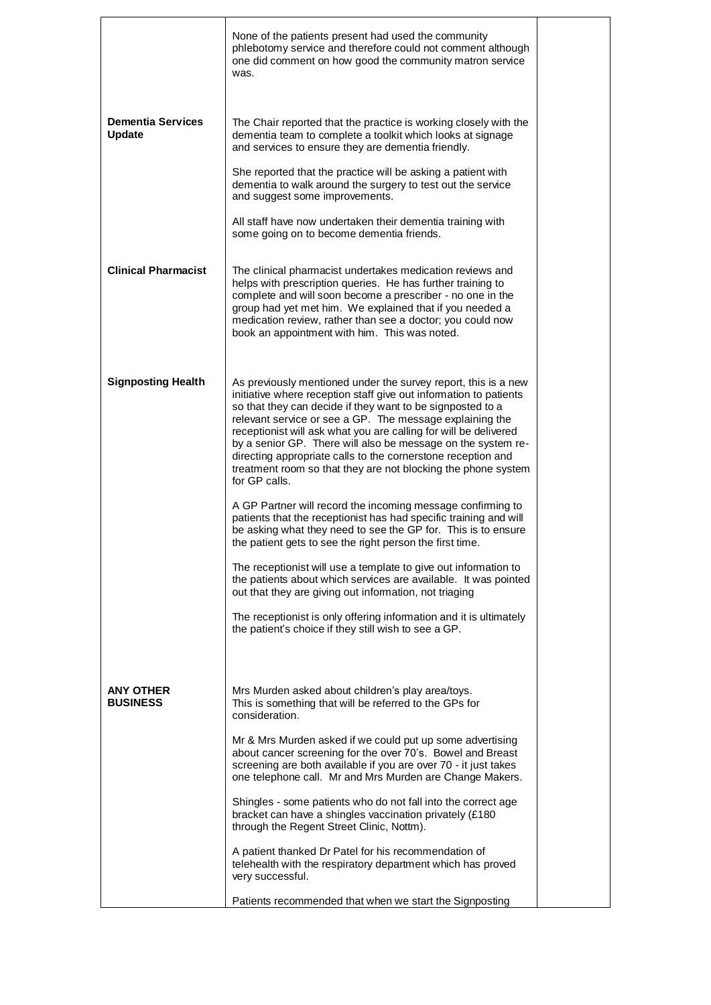|                                           | None of the patients present had used the community<br>phlebotomy service and therefore could not comment although<br>one did comment on how good the community matron service<br>was.                                                                                                                                                                                                                                                                                                                                                              |  |
|-------------------------------------------|-----------------------------------------------------------------------------------------------------------------------------------------------------------------------------------------------------------------------------------------------------------------------------------------------------------------------------------------------------------------------------------------------------------------------------------------------------------------------------------------------------------------------------------------------------|--|
| <b>Dementia Services</b><br><b>Update</b> | The Chair reported that the practice is working closely with the<br>dementia team to complete a toolkit which looks at signage<br>and services to ensure they are dementia friendly.                                                                                                                                                                                                                                                                                                                                                                |  |
|                                           | She reported that the practice will be asking a patient with<br>dementia to walk around the surgery to test out the service<br>and suggest some improvements.                                                                                                                                                                                                                                                                                                                                                                                       |  |
|                                           | All staff have now undertaken their dementia training with<br>some going on to become dementia friends.                                                                                                                                                                                                                                                                                                                                                                                                                                             |  |
| <b>Clinical Pharmacist</b>                | The clinical pharmacist undertakes medication reviews and<br>helps with prescription queries. He has further training to<br>complete and will soon become a prescriber - no one in the<br>group had yet met him. We explained that if you needed a<br>medication review, rather than see a doctor; you could now<br>book an appointment with him. This was noted.                                                                                                                                                                                   |  |
| <b>Signposting Health</b>                 | As previously mentioned under the survey report, this is a new<br>initiative where reception staff give out information to patients<br>so that they can decide if they want to be signposted to a<br>relevant service or see a GP. The message explaining the<br>receptionist will ask what you are calling for will be delivered<br>by a senior GP. There will also be message on the system re-<br>directing appropriate calls to the cornerstone reception and<br>treatment room so that they are not blocking the phone system<br>for GP calls. |  |
|                                           | A GP Partner will record the incoming message confirming to<br>patients that the receptionist has had specific training and will<br>be asking what they need to see the GP for. This is to ensure<br>the patient gets to see the right person the first time.                                                                                                                                                                                                                                                                                       |  |
|                                           | The receptionist will use a template to give out information to<br>the patients about which services are available. It was pointed<br>out that they are giving out information, not triaging                                                                                                                                                                                                                                                                                                                                                        |  |
|                                           | The receptionist is only offering information and it is ultimately<br>the patient's choice if they still wish to see a GP.                                                                                                                                                                                                                                                                                                                                                                                                                          |  |
| <b>ANY OTHER</b><br><b>BUSINESS</b>       | Mrs Murden asked about children's play area/toys.<br>This is something that will be referred to the GPs for<br>consideration.                                                                                                                                                                                                                                                                                                                                                                                                                       |  |
|                                           | Mr & Mrs Murden asked if we could put up some advertising<br>about cancer screening for the over 70's. Bowel and Breast<br>screening are both available if you are over 70 - it just takes<br>one telephone call. Mr and Mrs Murden are Change Makers.                                                                                                                                                                                                                                                                                              |  |
|                                           | Shingles - some patients who do not fall into the correct age<br>bracket can have a shingles vaccination privately (£180)<br>through the Regent Street Clinic, Nottm).                                                                                                                                                                                                                                                                                                                                                                              |  |
|                                           | A patient thanked Dr Patel for his recommendation of<br>telehealth with the respiratory department which has proved<br>very successful.                                                                                                                                                                                                                                                                                                                                                                                                             |  |
|                                           | Patients recommended that when we start the Signposting                                                                                                                                                                                                                                                                                                                                                                                                                                                                                             |  |